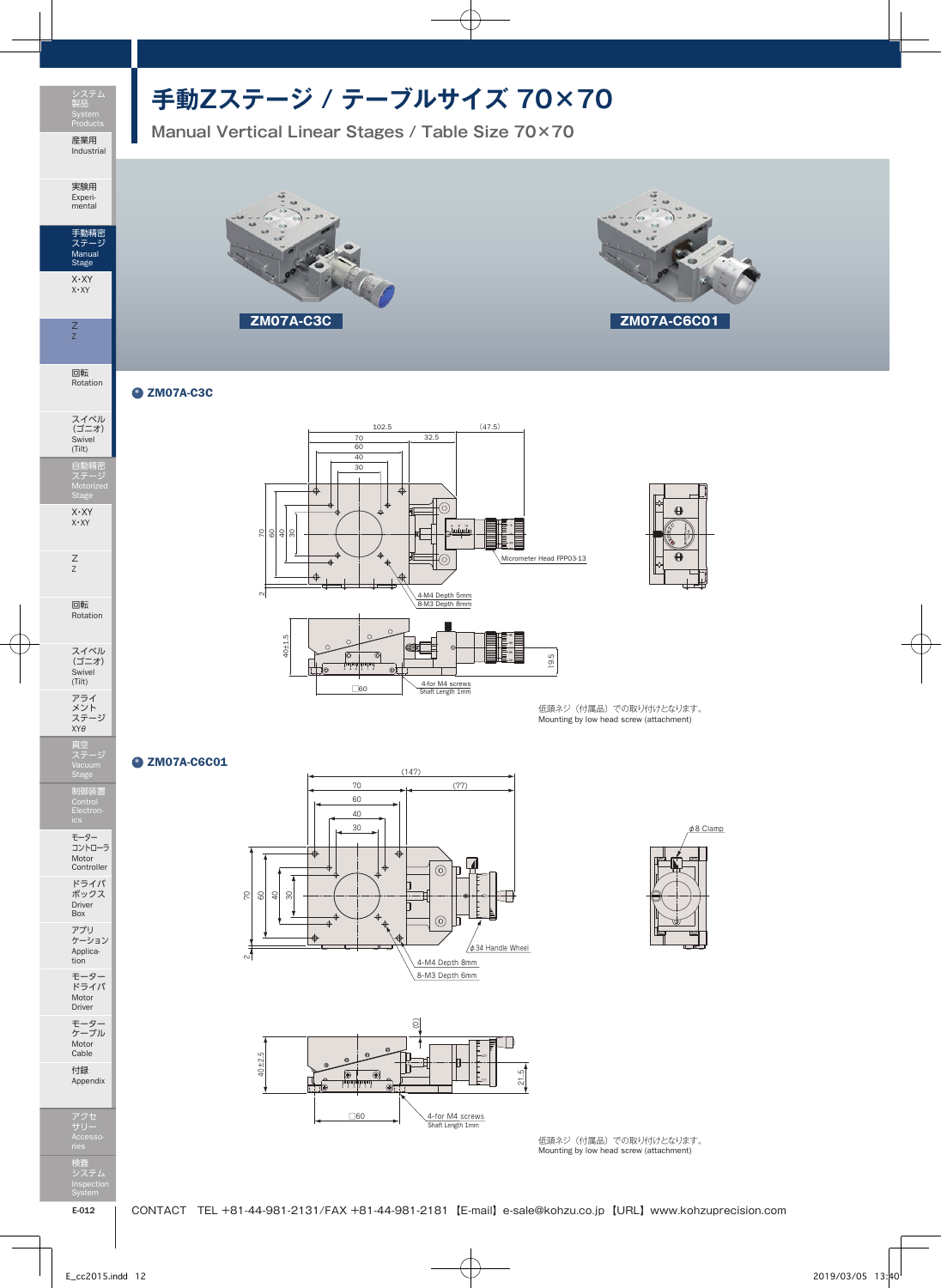

実験用 Experi-mental

手動精密 ステージ Manual Stage X・XY X・XY

Z Z

回転 Rotation

## **手動Zステージ / テーブルサイズ 70×70**

**Manual Vertical Linear Stages / Table Size 70×70**

**ZM07A-C3C ZM07A-C6C01**



## $Q$  ZM07A-C3C





回転 Rotation

スイベル (ゴニオ) Swivel (Tilt) アライ<br>メント<br>ステージ<br>XYθ



モーター コントローラ Motor Controller ドライバ ボックス Driver Box アプリ ケーション Applica-tion

モーター ドライバ Motor Driver モーター ケーブル Motor Cable

付録 Appendix

アクセ サリー Accesso-検査 システム Inspection System



 $\mathbf{\Theta}$ 

低頭ネジ(付属品)での取り付けとなります。<br>Mounting by low head screw (attachment)

## **Q** ZM07A-C6C01





φ8 Clamp

低頭ネジ(付属品)での取り付けとなります。 Mounting by low head screw (attachment)